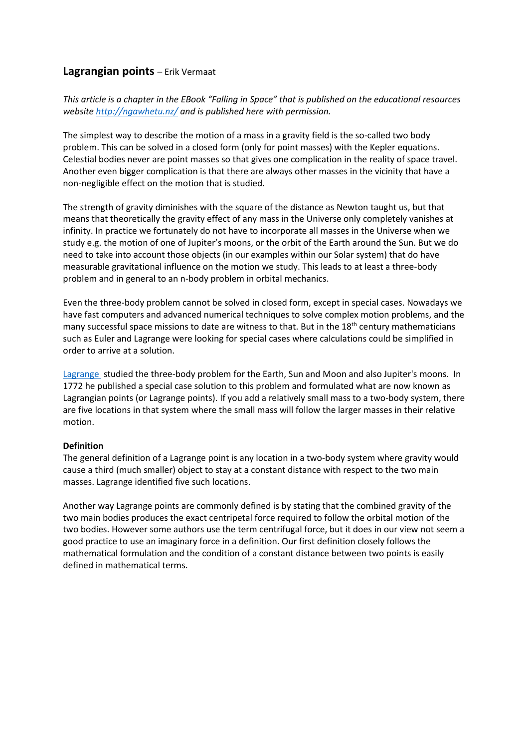# **Lagrangian points** – Erik Vermaat

*This article is a chapter in the EBook "Falling in Space" that is published on the educational resources website<http://ngawhetu.nz/> and is published here with permission.*

The simplest way to describe the motion of a mass in a gravity field is the so-called two body problem. This can be solved in a closed form (only for point masses) with the Kepler equations. Celestial bodies never are point masses so that gives one complication in the reality of space travel. Another even bigger complication is that there are always other masses in the vicinity that have a non-negligible effect on the motion that is studied.

The strength of gravity diminishes with the square of the distance as Newton taught us, but that means that theoretically the gravity effect of any mass in the Universe only completely vanishes at infinity. In practice we fortunately do not have to incorporate all masses in the Universe when we study e.g. the motion of one of Jupiter's moons, or the orbit of the Earth around the Sun. But we do need to take into account those objects (in our examples within our Solar system) that do have measurable gravitational influence on the motion we study. This leads to at least a three-body problem and in general to an n-body problem in orbital mechanics.

Even the three-body problem cannot be solved in closed form, except in special cases. Nowadays we have fast computers and advanced numerical techniques to solve complex motion problems, and the many successful space missions to date are witness to that. But in the  $18<sup>th</sup>$  century mathematicians such as Euler and Lagrange were looking for special cases where calculations could be simplified in order to arrive at a solution.

[Lagrange](https://en.wikipedia.org/wiki/Joseph-Louis_Lagrange) studied the three-body problem for the Earth, Sun and Moon and also Jupiter's moons. In 1772 he published a special case solution to this problem and formulated what are now known as Lagrangian points (or Lagrange points). If you add a relatively small mass to a two-body system, there are five locations in that system where the small mass will follow the larger masses in their relative motion.

## **Definition**

The general definition of a Lagrange point is any location in a two-body system where gravity would cause a third (much smaller) object to stay at a constant distance with respect to the two main masses. Lagrange identified five such locations.

Another way Lagrange points are commonly defined is by stating that the combined gravity of the two main bodies produces the exact centripetal force required to follow the orbital motion of the two bodies. However some authors use the term centrifugal force, but it does in our view not seem a good practice to use an imaginary force in a definition. Our first definition closely follows the mathematical formulation and the condition of a constant distance between two points is easily defined in mathematical terms.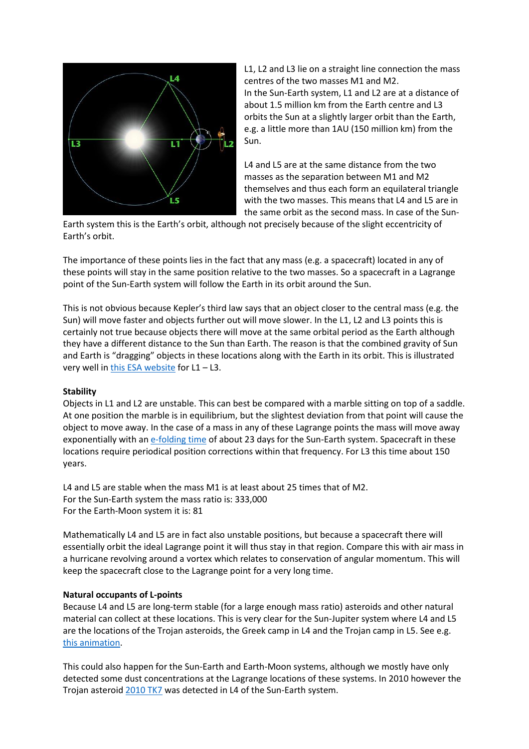

L1, L2 and L3 lie on a straight line connection the mass centres of the two masses M1 and M2. In the Sun-Earth system, L1 and L2 are at a distance of about 1.5 million km from the Earth centre and L3 orbits the Sun at a slightly larger orbit than the Earth, e.g. a little more than 1AU (150 million km) from the Sun.

L4 and L5 are at the same distance from the two masses as the separation between M1 and M2 themselves and thus each form an equilateral triangle with the two masses. This means that L4 and L5 are in the same orbit as the second mass. In case of the Sun-

Earth system this is the Earth's orbit, although not precisely because of the slight eccentricity of Earth's orbit.

The importance of these points lies in the fact that any mass (e.g. a spacecraft) located in any of these points will stay in the same position relative to the two masses. So a spacecraft in a Lagrange point of the Sun-Earth system will follow the Earth in its orbit around the Sun.

This is not obvious because Kepler's third law says that an object closer to the central mass (e.g. the Sun) will move faster and objects further out will move slower. In the L1, L2 and L3 points this is certainly not true because objects there will move at the same orbital period as the Earth although they have a different distance to the Sun than Earth. The reason is that the combined gravity of Sun and Earth is "dragging" objects in these locations along with the Earth in its orbit. This is illustrated very well in [this ESA website](http://www.esa.int/Our_Activities/Operations/What_are_Lagrange_points) for L1 – L3.

## **Stability**

Objects in L1 and L2 are unstable. This can best be compared with a marble sitting on top of a saddle. At one position the marble is in equilibrium, but the slightest deviation from that point will cause the object to move away. In the case of a mass in any of these Lagrange points the mass will move away exponentially with a[n e-folding time](https://en.wikipedia.org/wiki/E-folding) of about 23 days for the Sun-Earth system. Spacecraft in these locations require periodical position corrections within that frequency. For L3 this time about 150 years.

L4 and L5 are stable when the mass M1 is at least about 25 times that of M2. For the Sun-Earth system the mass ratio is: 333,000 For the Earth-Moon system it is: 81

Mathematically L4 and L5 are in fact also unstable positions, but because a spacecraft there will essentially orbit the ideal Lagrange point it will thus stay in that region. Compare this with air mass in a hurricane revolving around a vortex which relates to conservation of angular momentum. This will keep the spacecraft close to the Lagrange point for a very long time.

#### **Natural occupants of L-points**

Because L4 and L5 are long-term stable (for a large enough mass ratio) asteroids and other natural material can collect at these locations. This is very clear for the Sun-Jupiter system where L4 and L5 are the locations of the Trojan asteroids, the Greek camp in L4 and the Trojan camp in L5. See e.g. [this animation.](http://www.exploremars.org/trojan-asteroids-around-jupiter-explained)

This could also happen for the Sun-Earth and Earth-Moon systems, although we mostly have only detected some dust concentrations at the Lagrange locations of these systems. In 2010 however the Trojan asteroid [2010 TK7](http://www.astro.uwo.ca/~wiegert/2010TK7/) was detected in L4 of the Sun-Earth system.